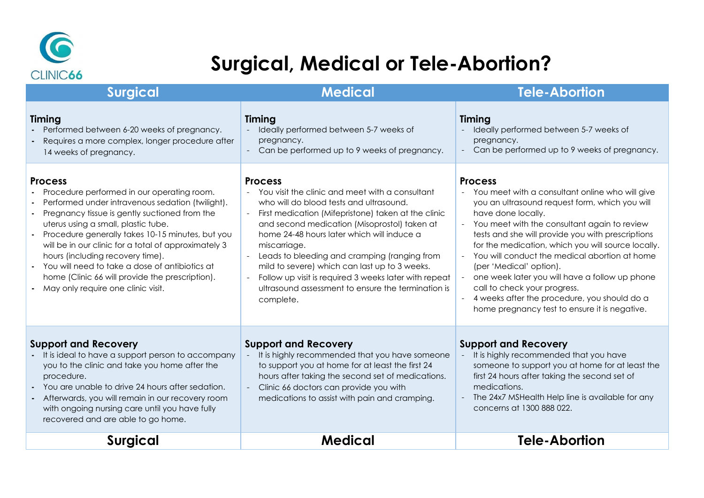

## **Surgical, Medical or Tele-Abortion?**

| <b>Surgical</b>                                                                                                                                                                                                                                                                                                                                                                                                                                                                                     | <b>Medical</b>                                                                                                                                                                                                                                                                                                                                                                                                                                                                                                       | <b>Tele-Abortion</b>                                                                                                                                                                                                                                                                                                                                                                                                                                                                                                                                                    |
|-----------------------------------------------------------------------------------------------------------------------------------------------------------------------------------------------------------------------------------------------------------------------------------------------------------------------------------------------------------------------------------------------------------------------------------------------------------------------------------------------------|----------------------------------------------------------------------------------------------------------------------------------------------------------------------------------------------------------------------------------------------------------------------------------------------------------------------------------------------------------------------------------------------------------------------------------------------------------------------------------------------------------------------|-------------------------------------------------------------------------------------------------------------------------------------------------------------------------------------------------------------------------------------------------------------------------------------------------------------------------------------------------------------------------------------------------------------------------------------------------------------------------------------------------------------------------------------------------------------------------|
| Timing<br>Performed between 6-20 weeks of pregnancy.<br>Requires a more complex, longer procedure after<br>14 weeks of pregnancy.                                                                                                                                                                                                                                                                                                                                                                   | Timing<br>Ideally performed between 5-7 weeks of<br>pregnancy.<br>- Can be performed up to 9 weeks of pregnancy.                                                                                                                                                                                                                                                                                                                                                                                                     | Timing<br>Ideally performed between 5-7 weeks of<br>pregnancy.<br>Can be performed up to 9 weeks of pregnancy.                                                                                                                                                                                                                                                                                                                                                                                                                                                          |
| <b>Process</b><br>Procedure performed in our operating room.<br>Performed under intravenous sedation (twilight).<br>Pregnancy tissue is gently suctioned from the<br>uterus using a small, plastic tube.<br>Procedure generally takes 10-15 minutes, but you<br>will be in our clinic for a total of approximately 3<br>hours (including recovery time).<br>You will need to take a dose of antibiotics at<br>home (Clinic 66 will provide the prescription).<br>May only require one clinic visit. | <b>Process</b><br>- You visit the clinic and meet with a consultant<br>who will do blood tests and ultrasound.<br>- First medication (Mifepristone) taken at the clinic<br>and second medication (Misoprostol) taken at<br>home 24-48 hours later which will induce a<br>miscarriage.<br>- Leads to bleeding and cramping (ranging from<br>mild to severe) which can last up to 3 weeks.<br>Follow up visit is required 3 weeks later with repeat<br>ultrasound assessment to ensure the termination is<br>complete. | <b>Process</b><br>- You meet with a consultant online who will give<br>you an ultrasound request form, which you will<br>have done locally.<br>- You meet with the consultant again to review<br>tests and she will provide you with prescriptions<br>for the medication, which you will source locally.<br>You will conduct the medical abortion at home<br>(per 'Medical' option).<br>one week later you will have a follow up phone<br>call to check your progress.<br>4 weeks after the procedure, you should do a<br>home pregnancy test to ensure it is negative. |
| <b>Support and Recovery</b><br>It is ideal to have a support person to accompany<br>you to the clinic and take you home after the<br>procedure.<br>You are unable to drive 24 hours after sedation.<br>Afterwards, you will remain in our recovery room<br>with ongoing nursing care until you have fully<br>recovered and are able to go home.                                                                                                                                                     | <b>Support and Recovery</b><br>It is highly recommended that you have someone<br>to support you at home for at least the first 24<br>hours after taking the second set of medications.<br>- Clinic 66 doctors can provide you with<br>medications to assist with pain and cramping.                                                                                                                                                                                                                                  | <b>Support and Recovery</b><br>It is highly recommended that you have<br>someone to support you at home for at least the<br>first 24 hours after taking the second set of<br>medications.<br>The 24x7 MSHealth Help line is available for any<br>concerns at 1300 888 022.                                                                                                                                                                                                                                                                                              |
| <b>Surgical</b>                                                                                                                                                                                                                                                                                                                                                                                                                                                                                     | <b>Medical</b>                                                                                                                                                                                                                                                                                                                                                                                                                                                                                                       | <b>Tele-Abortion</b>                                                                                                                                                                                                                                                                                                                                                                                                                                                                                                                                                    |